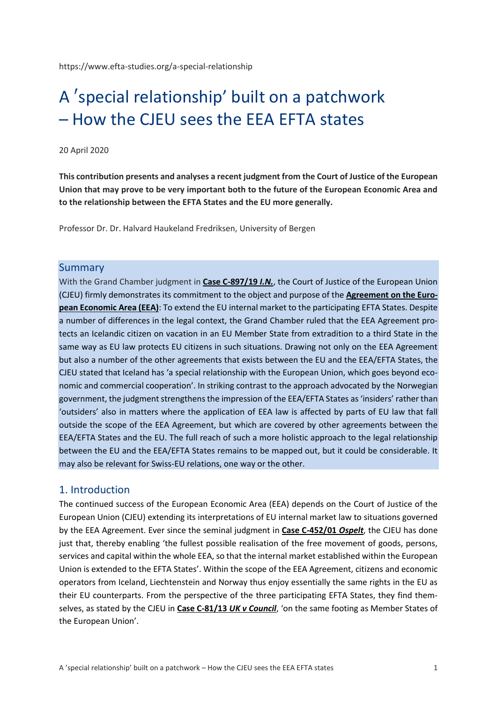https://www.efta-studies.org/a-special-relationship

# A ′special relationship' built on a patchwork – How the CJEU sees the EEA EFTA states

#### 20 April 2020

**This contribution presents and analyses a recent judgment from the Court of Justice of the European Union that may prove to be very important both to the future of the European Economic Area and to the relationship between the EFTA States and the EU more generally.**

Professor Dr. Dr. Halvard Haukeland Fredriksen, University of Bergen

#### Summary

With the Grand Chamber judgment in **[Case C-897/19](http://curia.europa.eu/juris/document/document.jsf?text=&docid=224890&pageIndex=0&doclang=EN&mode=req&dir=&occ=first&part=1&cid=365588)** *I.N.*, the Court of Justice of the European Union (CJEU) firmly demonstrates its commitment to the object and purpose of the **[Agreement on the Euro](https://www.efta.int/media/documents/legal-texts/eea/the-eea-agreement/Main%20Text%20of%20the%20Agreement/EEAagreement.pdf)[pean Economic Area \(EEA\)](https://www.efta.int/media/documents/legal-texts/eea/the-eea-agreement/Main%20Text%20of%20the%20Agreement/EEAagreement.pdf)**: To extend the EU internal market to the participating EFTA States. Despite a number of differences in the legal context, the Grand Chamber ruled that the EEA Agreement protects an Icelandic citizen on vacation in an EU Member State from extradition to a third State in the same way as EU law protects EU citizens in such situations. Drawing not only on the EEA Agreement but also a number of the other agreements that exists between the EU and the EEA/EFTA States, the CJEU stated that Iceland has 'a special relationship with the European Union, which goes beyond economic and commercial cooperation'. In striking contrast to the approach advocated by the Norwegian government, the judgment strengthens the impression of the EEA/EFTA States as 'insiders' rather than 'outsiders' also in matters where the application of EEA law is affected by parts of EU law that fall outside the scope of the EEA Agreement, but which are covered by other agreements between the EEA/EFTA States and the EU. The full reach of such a more holistic approach to the legal relationship between the EU and the EEA/EFTA States remains to be mapped out, but it could be considerable. It may also be relevant for Swiss-EU relations, one way or the other.

#### 1. Introduction

The continued success of the European Economic Area (EEA) depends on the Court of Justice of the European Union (CJEU) extending its interpretations of EU internal market law to situations governed by the EEA Agreement. Ever since the seminal judgment in **[Case C-452/01](http://curia.europa.eu/juris/document/document.jsf?text=&docid=48616&pageIndex=0&doclang=en&mode=lst&dir=&occ=first&part=1&cid=4558034)** *Ospelt*, the CJEU has done just that, thereby enabling 'the fullest possible realisation of the free movement of goods, persons, services and capital within the whole EEA, so that the internal market established within the European Union is extended to the EFTA States'. Within the scope of the EEA Agreement, citizens and economic operators from Iceland, Liechtenstein and Norway thus enjoy essentially the same rights in the EU as their EU counterparts. From the perspective of the three participating EFTA States, they find themselves, as stated by the CJEU in **[Case C-81/13](http://curia.europa.eu/juris/document/document.jsf?text=&docid=160944&pageIndex=0&doclang=EN&mode=lst&dir=&occ=first&part=1&cid=1804075)** *UK v Council*, 'on the same footing as Member States of the European Union'.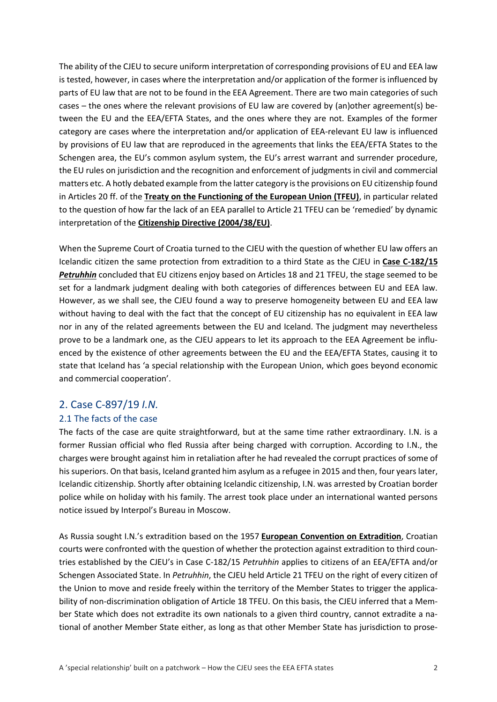The ability of the CJEU to secure uniform interpretation of corresponding provisions of EU and EEA law is tested, however, in cases where the interpretation and/or application of the former is influenced by parts of EU law that are not to be found in the EEA Agreement. There are two main categories of such cases – the ones where the relevant provisions of EU law are covered by (an)other agreement(s) between the EU and the EEA/EFTA States, and the ones where they are not. Examples of the former category are cases where the interpretation and/or application of EEA-relevant EU law is influenced by provisions of EU law that are reproduced in the agreements that links the EEA/EFTA States to the Schengen area, the EU's common asylum system, the EU's arrest warrant and surrender procedure, the EU rules on jurisdiction and the recognition and enforcement of judgments in civil and commercial matters etc. A hotly debated example from the latter category is the provisions on EU citizenship found in Articles 20 ff. of the **[Treaty on the Functioning of the European Union \(TFEU\)](https://eur-lex.europa.eu/legal-content/EN/TXT/?uri=CELEX:12016E/TXT)**, in particular related to the question of how far the lack of an EEA parallel to Article 21 TFEU can be 'remedied' by dynamic interpretation of the **[Citizenship Directive \(2004/38/EU\)](https://eur-lex.europa.eu/legal-content/EN/TXT/?uri=CELEX:32004L0038)**.

When the Supreme Court of Croatia turned to the CJEU with the question of whether EU law offers an Icelandic citizen the same protection from extradition to a third State as the CJEU in **[Case C-182/15](http://curia.europa.eu/juris/document/document.jsf?text=&docid=183097&pageIndex=0&doclang=EN&mode=lst&dir=&occ=first&part=1&cid=1278945)**  *[Petruhhin](http://curia.europa.eu/juris/document/document.jsf?text=&docid=183097&pageIndex=0&doclang=EN&mode=lst&dir=&occ=first&part=1&cid=1278945)* concluded that EU citizens enjoy based on Articles 18 and 21 TFEU, the stage seemed to be set for a landmark judgment dealing with both categories of differences between EU and EEA law. However, as we shall see, the CJEU found a way to preserve homogeneity between EU and EEA law without having to deal with the fact that the concept of EU citizenship has no equivalent in EEA law nor in any of the related agreements between the EU and Iceland. The judgment may nevertheless prove to be a landmark one, as the CJEU appears to let its approach to the EEA Agreement be influenced by the existence of other agreements between the EU and the EEA/EFTA States, causing it to state that Iceland has 'a special relationship with the European Union, which goes beyond economic and commercial cooperation'.

# 2. Case C-897/19 *I.N.*

## 2.1 The facts of the case

The facts of the case are quite straightforward, but at the same time rather extraordinary. I.N. is a former Russian official who fled Russia after being charged with corruption. According to I.N., the charges were brought against him in retaliation after he had revealed the corrupt practices of some of his superiors. On that basis, Iceland granted him asylum as a refugee in 2015 and then, four years later, Icelandic citizenship. Shortly after obtaining Icelandic citizenship, I.N. was arrested by Croatian border police while on holiday with his family. The arrest took place under an international wanted persons notice issued by Interpol's Bureau in Moscow.

As Russia sought I.N.'s extradition based on the 1957 **[European Convention on Extradition](https://rm.coe.int/1680064587)**, Croatian courts were confronted with the question of whether the protection against extradition to third countries established by the CJEU's in Case C-182/15 *Petruhhin* applies to citizens of an EEA/EFTA and/or Schengen Associated State. In *Petruhhin*, the CJEU held Article 21 TFEU on the right of every citizen of the Union to move and reside freely within the territory of the Member States to trigger the applicability of non-discrimination obligation of Article 18 TFEU. On this basis, the CJEU inferred that a Member State which does not extradite its own nationals to a given third country, cannot extradite a national of another Member State either, as long as that other Member State has jurisdiction to prose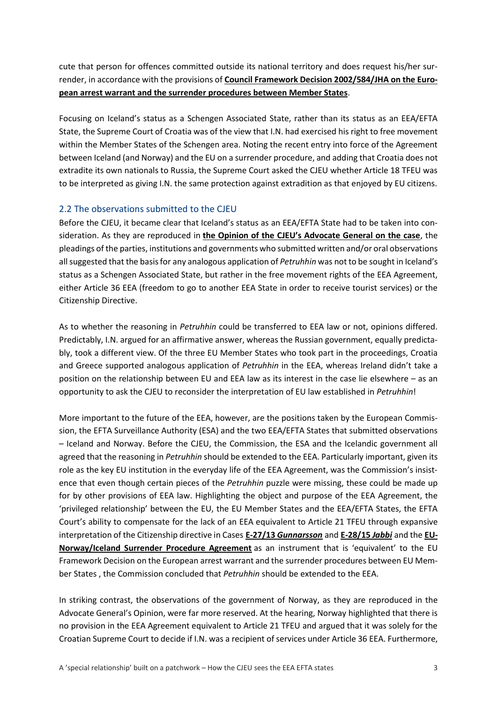cute that person for offences committed outside its national territory and does request his/her surrender, in accordance with the provisions of **[Council Framework Decision 2002/584/JHA on the Euro](https://eur-lex.europa.eu/legal-content/EN/TXT/?uri=CELEX:32002F0584)[pean arrest warrant and the surrender procedures between Member States](https://eur-lex.europa.eu/legal-content/EN/TXT/?uri=CELEX:32002F0584)**.

Focusing on Iceland's status as a Schengen Associated State, rather than its status as an EEA/EFTA State, the Supreme Court of Croatia was of the view that I.N. had exercised his right to free movement within the Member States of the Schengen area. Noting the recent entry into force of the Agreement between Iceland (and Norway) and the EU on a surrender procedure, and adding that Croatia does not extradite its own nationals to Russia, the Supreme Court asked the CJEU whether Article 18 TFEU was to be interpreted as giving I.N. the same protection against extradition as that enjoyed by EU citizens.

#### 2.2 The observations submitted to the CJEU

Before the CJEU, it became clear that Iceland's status as an EEA/EFTA State had to be taken into consideration. As they are reproduced in **[the Opinion of the CJEU's Advocate General on the case](http://curia.europa.eu/juris/document/document.jsf?text=&docid=223857&pageIndex=0&doclang=en&mode=lst&dir=&occ=first&part=1&cid=1817725#Footref78)**, the pleadings of the parties, institutions and governments who submitted written and/or oral observations all suggested that the basis for any analogous application of *Petruhhin* was not to be sought in Iceland's status as a Schengen Associated State, but rather in the free movement rights of the EEA Agreement, either Article 36 EEA (freedom to go to another EEA State in order to receive tourist services) or the Citizenship Directive.

As to whether the reasoning in *Petruhhin* could be transferred to EEA law or not, opinions differed. Predictably, I.N. argued for an affirmative answer, whereas the Russian government, equally predictably, took a different view. Of the three EU Member States who took part in the proceedings, Croatia and Greece supported analogous application of *Petruhhin* in the EEA, whereas Ireland didn't take a position on the relationship between EU and EEA law as its interest in the case lie elsewhere – as an opportunity to ask the CJEU to reconsider the interpretation of EU law established in *Petruhhin*!

More important to the future of the EEA, however, are the positions taken by the European Commission, the EFTA Surveillance Authority (ESA) and the two EEA/EFTA States that submitted observations – Iceland and Norway. Before the CJEU, the Commission, the ESA and the Icelandic government all agreed that the reasoning in *Petruhhin* should be extended to the EEA. Particularly important, given its role as the key EU institution in the everyday life of the EEA Agreement, was the Commission's insistence that even though certain pieces of the *Petruhhin* puzzle were missing, these could be made up for by other provisions of EEA law. Highlighting the object and purpose of the EEA Agreement, the 'privileged relationship' between the EU, the EU Member States and the EEA/EFTA States, the EFTA Court's ability to compensate for the lack of an EEA equivalent to Article 21 TFEU through expansive interpretation of the Citizenship directive in Cases **E-27/13** *[Gunnarsson](https://eftacourt.int/cases/e-26-13/)* and **[E-28/15](https://eftacourt.int/cases-search-results/?fwp_cases_name_of_the_parties=Jabbi)** *Jabbi* and the **[EU-](https://eur-lex.europa.eu/legal-content/EN/TXT/?uri=uriserv:OJ.L_.2006.292.01.0001.01.ENG#L_2006292EN.01000201)[Norway/Iceland Surrender Procedure Agreement](https://eur-lex.europa.eu/legal-content/EN/TXT/?uri=uriserv:OJ.L_.2006.292.01.0001.01.ENG#L_2006292EN.01000201)** as an instrument that is 'equivalent' to the EU Framework Decision on the European arrest warrant and the surrender procedures between EU Member States , the Commission concluded that *Petruhhin* should be extended to the EEA.

In striking contrast, the observations of the government of Norway, as they are reproduced in the Advocate General's Opinion, were far more reserved. At the hearing, Norway highlighted that there is no provision in the EEA Agreement equivalent to Article 21 TFEU and argued that it was solely for the Croatian Supreme Court to decide if I.N. was a recipient of services under Article 36 EEA. Furthermore,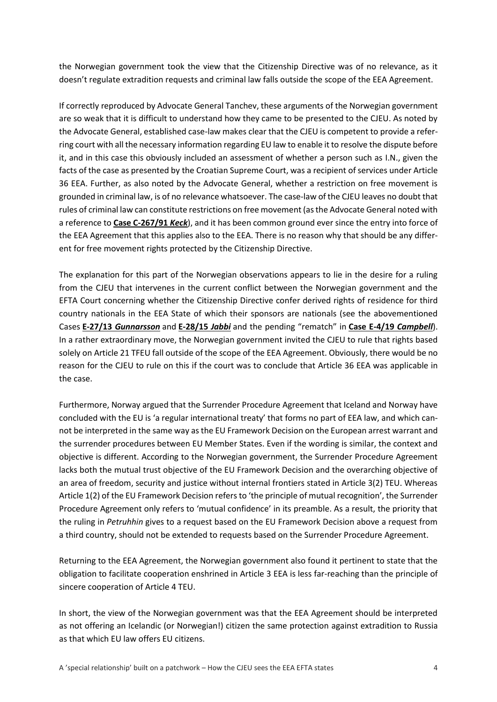the Norwegian government took the view that the Citizenship Directive was of no relevance, as it doesn't regulate extradition requests and criminal law falls outside the scope of the EEA Agreement.

If correctly reproduced by Advocate General Tanchev, these arguments of the Norwegian government are so weak that it is difficult to understand how they came to be presented to the CJEU. As noted by the Advocate General, established case-law makes clear that the CJEU is competent to provide a referring court with all the necessary information regarding EU law to enable it to resolve the dispute before it, and in this case this obviously included an assessment of whether a person such as I.N., given the facts of the case as presented by the Croatian Supreme Court, was a recipient of services under Article 36 EEA. Further, as also noted by the Advocate General, whether a restriction on free movement is grounded in criminal law, is of no relevance whatsoever. The case-law of the CJEU leaves no doubt that rules of criminal law can constitute restrictions on free movement (as the Advocate General noted with a reference to **[Case C-267/91](http://curia.europa.eu/juris/liste.jsf?language=en&jur=C%2CT%2CF&num=C-267/91&parties=&dates=error&docnodecision=docnodecision&allcommjo=allcommjo&affint=affint&affclose=affclose&alldocrec=alldocrec&docdecision=docdecision&docor=docor&docav=docav&docsom=docsom&docinf=docinf&alldocnorec=alldocnorec&docnoor=docnoor&docppoag=docppoag&radtypeord=on&newform=newform&docj=docj&docop=docop&docnoj=docnoj&typeord=ALL&domaine=&mots=&resmax=100&Submit=Rechercher)** *Keck*), and it has been common ground ever since the entry into force of the EEA Agreement that this applies also to the EEA. There is no reason why that should be any different for free movement rights protected by the Citizenship Directive.

The explanation for this part of the Norwegian observations appears to lie in the desire for a ruling from the CJEU that intervenes in the current conflict between the Norwegian government and the EFTA Court concerning whether the Citizenship Directive confer derived rights of residence for third country nationals in the EEA State of which their sponsors are nationals (see the abovementioned Cases **E-27/13** *[Gunnarsson](https://eftacourt.int/cases/e-26-13/)* and **[E-28/15](https://eftacourt.int/cases-search-results/?fwp_cases_name_of_the_parties=Jabbi)** *Jabbi* and the pending "rematch" in **[Case E-4/19](https://eftacourt.int/cases/e-4-19/)** *Campbell*). In a rather extraordinary move, the Norwegian government invited the CJEU to rule that rights based solely on Article 21 TFEU fall outside of the scope of the EEA Agreement. Obviously, there would be no reason for the CJEU to rule on this if the court was to conclude that Article 36 EEA was applicable in the case.

Furthermore, Norway argued that the Surrender Procedure Agreement that Iceland and Norway have concluded with the EU is 'a regular international treaty' that forms no part of EEA law, and which cannot be interpreted in the same way as the EU Framework Decision on the European arrest warrant and the surrender procedures between EU Member States. Even if the wording is similar, the context and objective is different. According to the Norwegian government, the Surrender Procedure Agreement lacks both the mutual trust objective of the EU Framework Decision and the overarching objective of an area of freedom, security and justice without internal frontiers stated in Article 3(2) TEU. Whereas Article 1(2) of the EU Framework Decision refers to 'the principle of mutual recognition', the Surrender Procedure Agreement only refers to 'mutual confidence' in its preamble. As a result, the priority that the ruling in *Petruhhin* gives to a request based on the EU Framework Decision above a request from a third country, should not be extended to requests based on the Surrender Procedure Agreement.

Returning to the EEA Agreement, the Norwegian government also found it pertinent to state that the obligation to facilitate cooperation enshrined in Article 3 EEA is less far-reaching than the principle of sincere cooperation of Article 4 TEU.

In short, the view of the Norwegian government was that the EEA Agreement should be interpreted as not offering an Icelandic (or Norwegian!) citizen the same protection against extradition to Russia as that which EU law offers EU citizens.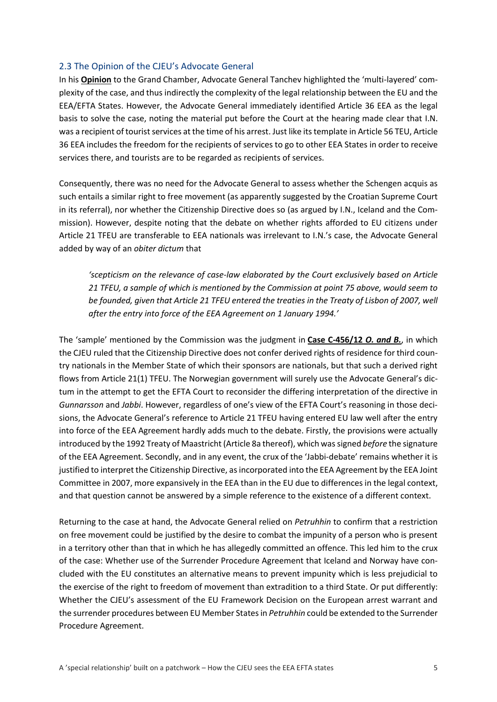#### 2.3 The Opinion of the CJEU's Advocate General

In his **[Opinion](http://curia.europa.eu/juris/document/document.jsf?text=&docid=223857&pageIndex=0&doclang=en&mode=lst&dir=&occ=first&part=1&cid=1817725#Footref80)** to the Grand Chamber, Advocate General Tanchev highlighted the 'multi-layered' complexity of the case, and thus indirectly the complexity of the legal relationship between the EU and the EEA/EFTA States. However, the Advocate General immediately identified Article 36 EEA as the legal basis to solve the case, noting the material put before the Court at the hearing made clear that I.N. was a recipient of tourist services at the time of his arrest. Just like its template in Article 56 TEU, Article 36 EEA includes the freedom for the recipients of services to go to other EEA States in order to receive services there, and tourists are to be regarded as recipients of services.

Consequently, there was no need for the Advocate General to assess whether the Schengen acquis as such entails a similar right to free movement (as apparently suggested by the Croatian Supreme Court in its referral), nor whether the Citizenship Directive does so (as argued by I.N., Iceland and the Commission). However, despite noting that the debate on whether rights afforded to EU citizens under Article 21 TFEU are transferable to EEA nationals was irrelevant to I.N.'s case, the Advocate General added by way of an *obiter dictum* that

*'scepticism on the relevance of case-law elaborated by the Court exclusively based on Article 21 TFEU, a sample of which is mentioned by the Commission at point 75 above, would seem to be founded, given that Article 21 TFEU entered the treaties in the Treaty of Lisbon of 2007, well after the entry into force of the EEA Agreement on 1 January 1994.'*

The 'sample' mentioned by the Commission was the judgment in **[Case C-456/12](http://curia.europa.eu/juris/document/document.jsf?text=&docid=149082&pageIndex=0&doclang=EN&mode=lst&dir=&occ=first&part=1&cid=5402452)** *O. and B.*, in which the CJEU ruled that the Citizenship Directive does not confer derived rights of residence for third country nationals in the Member State of which their sponsors are nationals, but that such a derived right flows from Article 21(1) TFEU. The Norwegian government will surely use the Advocate General's dictum in the attempt to get the EFTA Court to reconsider the differing interpretation of the directive in *Gunnarsson* and *Jabbi*. However, regardless of one's view of the EFTA Court's reasoning in those decisions, the Advocate General's reference to Article 21 TFEU having entered EU law well after the entry into force of the EEA Agreement hardly adds much to the debate. Firstly, the provisions were actually introduced by the 1992 Treaty of Maastricht (Article 8a thereof), which was signed *before* the signature of the EEA Agreement. Secondly, and in any event, the crux of the 'Jabbi-debate' remains whether it is justified to interpret the Citizenship Directive, as incorporated into the EEA Agreement by the EEA Joint Committee in 2007, more expansively in the EEA than in the EU due to differences in the legal context, and that question cannot be answered by a simple reference to the existence of a different context.

Returning to the case at hand, the Advocate General relied on *Petruhhin* to confirm that a restriction on free movement could be justified by the desire to combat the impunity of a person who is present in a territory other than that in which he has allegedly committed an offence. This led him to the crux of the case: Whether use of the Surrender Procedure Agreement that Iceland and Norway have concluded with the EU constitutes an alternative means to prevent impunity which is less prejudicial to the exercise of the right to freedom of movement than extradition to a third State. Or put differently: Whether the CJEU's assessment of the EU Framework Decision on the European arrest warrant and the surrender procedures between EU Member States in *Petruhhin* could be extended to the Surrender Procedure Agreement.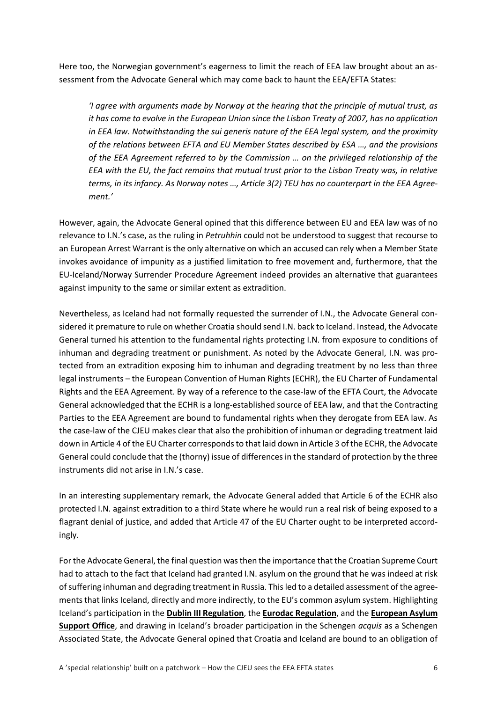Here too, the Norwegian government's eagerness to limit the reach of EEA law brought about an assessment from the Advocate General which may come back to haunt the EEA/EFTA States:

*'I agree with arguments made by Norway at the hearing that the principle of mutual trust, as it has come to evolve in the European Union since the Lisbon Treaty of 2007, has no application in EEA law. Notwithstanding the sui generis nature of the EEA legal system, and the proximity of the relations between EFTA and EU Member States described by ESA …, and the provisions of the EEA Agreement referred to by the Commission … on the privileged relationship of the EEA with the EU, the fact remains that mutual trust prior to the Lisbon Treaty was, in relative terms, in its infancy. As Norway notes …, Article 3(2) TEU has no counterpart in the EEA Agreement.'*

However, again, the Advocate General opined that this difference between EU and EEA law was of no relevance to I.N.'s case, as the ruling in *Petruhhin* could not be understood to suggest that recourse to an European Arrest Warrant is the only alternative on which an accused can rely when a Member State invokes avoidance of impunity as a justified limitation to free movement and, furthermore, that the EU-Iceland/Norway Surrender Procedure Agreement indeed provides an alternative that guarantees against impunity to the same or similar extent as extradition.

Nevertheless, as Iceland had not formally requested the surrender of I.N., the Advocate General considered it premature to rule on whether Croatia should send I.N. back to Iceland. Instead, the Advocate General turned his attention to the fundamental rights protecting I.N. from exposure to conditions of inhuman and degrading treatment or punishment. As noted by the Advocate General, I.N. was protected from an extradition exposing him to inhuman and degrading treatment by no less than three legal instruments – the European Convention of Human Rights (ECHR), the EU Charter of Fundamental Rights and the EEA Agreement. By way of a reference to the case-law of the EFTA Court, the Advocate General acknowledged that the ECHR is a long-established source of EEA law, and that the Contracting Parties to the EEA Agreement are bound to fundamental rights when they derogate from EEA law. As the case-law of the CJEU makes clear that also the prohibition of inhuman or degrading treatment laid down in Article 4 of the EU Charter corresponds to that laid down in Article 3 of the ECHR, the Advocate General could conclude that the (thorny) issue of differences in the standard of protection by the three instruments did not arise in I.N.'s case.

In an interesting supplementary remark, the Advocate General added that Article 6 of the ECHR also protected I.N. against extradition to a third State where he would run a real risk of being exposed to a flagrant denial of justice, and added that Article 47 of the EU Charter ought to be interpreted accordingly.

For the Advocate General, the final question was then the importance that the Croatian Supreme Court had to attach to the fact that Iceland had granted I.N. asylum on the ground that he was indeed at risk of suffering inhuman and degrading treatment in Russia. This led to a detailed assessment of the agreements that links Iceland, directly and more indirectly, to the EU's common asylum system. Highlighting Iceland's participation in the **[Dublin III Regulation](https://eur-lex.europa.eu/legal-content/EN/TXT/?uri=CELEX:02013R0604-20130629)**, the **[Eurodac Regulation](https://eur-lex.europa.eu/legal-content/en/TXT/?uri=CELEX:32013R0603)**, and the **[European Asylum](https://easo.europa.eu/)  [Support Office](https://easo.europa.eu/)**, and drawing in Iceland's broader participation in the Schengen *acquis* as a Schengen Associated State, the Advocate General opined that Croatia and Iceland are bound to an obligation of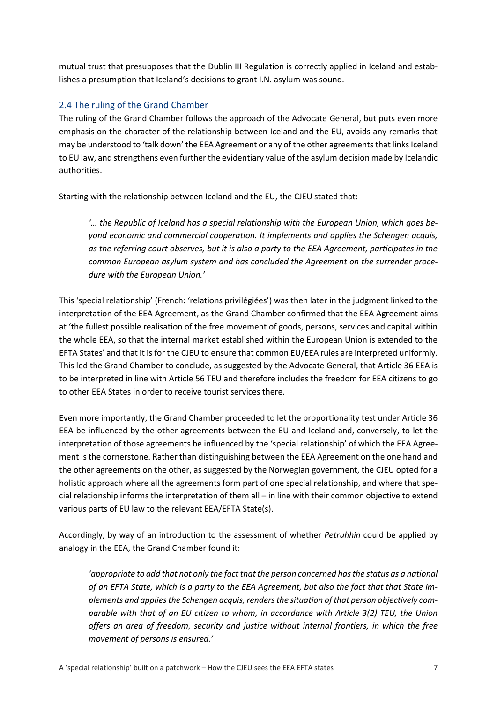mutual trust that presupposes that the Dublin III Regulation is correctly applied in Iceland and establishes a presumption that Iceland's decisions to grant I.N. asylum was sound.

### 2.4 The ruling of the Grand Chamber

The ruling of the Grand Chamber follows the approach of the Advocate General, but puts even more emphasis on the character of the relationship between Iceland and the EU, avoids any remarks that may be understood to 'talk down' the EEA Agreement or any of the other agreements that links Iceland to EU law, and strengthens even further the evidentiary value of the asylum decision made by Icelandic authorities.

Starting with the relationship between Iceland and the EU, the CJEU stated that:

*'… the Republic of Iceland has a special relationship with the European Union, which goes beyond economic and commercial cooperation. It implements and applies the Schengen acquis, as the referring court observes, but it is also a party to the EEA Agreement, participates in the common European asylum system and has concluded the Agreement on the surrender procedure with the European Union.'*

This 'special relationship' (French: 'relations privilégiées') was then later in the judgment linked to the interpretation of the EEA Agreement, as the Grand Chamber confirmed that the EEA Agreement aims at 'the fullest possible realisation of the free movement of goods, persons, services and capital within the whole EEA, so that the internal market established within the European Union is extended to the EFTA States' and that it is for the CJEU to ensure that common EU/EEA rules are interpreted uniformly. This led the Grand Chamber to conclude, as suggested by the Advocate General, that Article 36 EEA is to be interpreted in line with Article 56 TEU and therefore includes the freedom for EEA citizens to go to other EEA States in order to receive tourist services there.

Even more importantly, the Grand Chamber proceeded to let the proportionality test under Article 36 EEA be influenced by the other agreements between the EU and Iceland and, conversely, to let the interpretation of those agreements be influenced by the 'special relationship' of which the EEA Agreement is the cornerstone. Rather than distinguishing between the EEA Agreement on the one hand and the other agreements on the other, as suggested by the Norwegian government, the CJEU opted for a holistic approach where all the agreements form part of one special relationship, and where that special relationship informs the interpretation of them all – in line with their common objective to extend various parts of EU law to the relevant EEA/EFTA State(s).

Accordingly, by way of an introduction to the assessment of whether *Petruhhin* could be applied by analogy in the EEA, the Grand Chamber found it:

*'appropriate to add that not only the fact that the person concerned has the status as a national of an EFTA State, which is a party to the EEA Agreement, but also the fact that that State implements and applies the Schengen acquis, renders the situation of that person objectively comparable with that of an EU citizen to whom, in accordance with Article 3(2) TEU, the Union offers an area of freedom, security and justice without internal frontiers, in which the free movement of persons is ensured.'*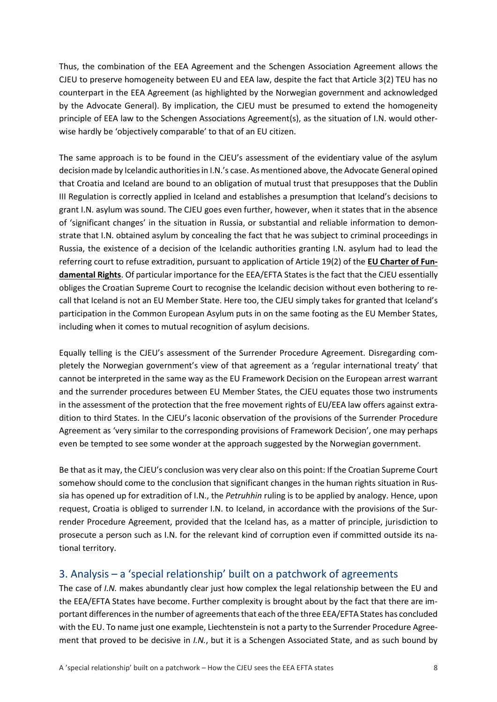Thus, the combination of the EEA Agreement and the Schengen Association Agreement allows the CJEU to preserve homogeneity between EU and EEA law, despite the fact that Article 3(2) TEU has no counterpart in the EEA Agreement (as highlighted by the Norwegian government and acknowledged by the Advocate General). By implication, the CJEU must be presumed to extend the homogeneity principle of EEA law to the Schengen Associations Agreement(s), as the situation of I.N. would otherwise hardly be 'objectively comparable' to that of an EU citizen.

The same approach is to be found in the CJEU's assessment of the evidentiary value of the asylum decision made by Icelandic authorities in I.N.'s case. As mentioned above, the Advocate General opined that Croatia and Iceland are bound to an obligation of mutual trust that presupposes that the Dublin III Regulation is correctly applied in Iceland and establishes a presumption that Iceland's decisions to grant I.N. asylum was sound. The CJEU goes even further, however, when it states that in the absence of 'significant changes' in the situation in Russia, or substantial and reliable information to demonstrate that I.N. obtained asylum by concealing the fact that he was subject to criminal proceedings in Russia, the existence of a decision of the Icelandic authorities granting I.N. asylum had to lead the referring court to refuse extradition, pursuant to application of Article 19(2) of the **[EU Charter of Fun](https://eur-lex.europa.eu/legal-content/EN/TXT/?uri=CELEX:12012P/TXT)[damental Rights](https://eur-lex.europa.eu/legal-content/EN/TXT/?uri=CELEX:12012P/TXT)**. Of particular importance for the EEA/EFTA States is the fact that the CJEU essentially obliges the Croatian Supreme Court to recognise the Icelandic decision without even bothering to recall that Iceland is not an EU Member State. Here too, the CJEU simply takes for granted that Iceland's participation in the Common European Asylum puts in on the same footing as the EU Member States, including when it comes to mutual recognition of asylum decisions.

Equally telling is the CJEU's assessment of the Surrender Procedure Agreement. Disregarding completely the Norwegian government's view of that agreement as a 'regular international treaty' that cannot be interpreted in the same way as the EU Framework Decision on the European arrest warrant and the surrender procedures between EU Member States, the CJEU equates those two instruments in the assessment of the protection that the free movement rights of EU/EEA law offers against extradition to third States. In the CJEU's laconic observation of the provisions of the Surrender Procedure Agreement as 'very similar to the corresponding provisions of Framework Decision', one may perhaps even be tempted to see some wonder at the approach suggested by the Norwegian government.

Be that as it may, the CJEU's conclusion was very clear also on this point: If the Croatian Supreme Court somehow should come to the conclusion that significant changes in the human rights situation in Russia has opened up for extradition of I.N., the *Petruhhin* ruling is to be applied by analogy. Hence, upon request, Croatia is obliged to surrender I.N. to Iceland, in accordance with the provisions of the Surrender Procedure Agreement, provided that the Iceland has, as a matter of principle, jurisdiction to prosecute a person such as I.N. for the relevant kind of corruption even if committed outside its national territory.

# 3. Analysis – a 'special relationship' built on a patchwork of agreements

The case of *I.N.* makes abundantly clear just how complex the legal relationship between the EU and the EEA/EFTA States have become. Further complexity is brought about by the fact that there are important differences in the number of agreements that each of the three EEA/EFTA States has concluded with the EU. To name just one example, Liechtenstein is not a party to the Surrender Procedure Agreement that proved to be decisive in *I.N.*, but it is a Schengen Associated State, and as such bound by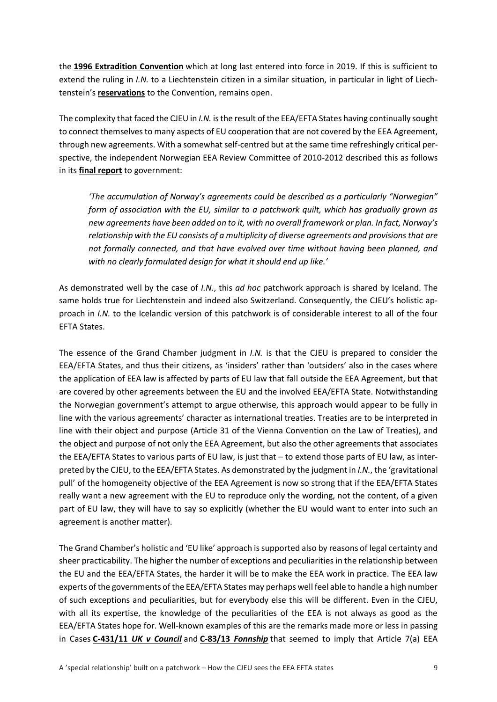the **[1996 Extradition Convention](https://www.ejn-crimjust.europa.eu/ejn/NewsDetail/EN/669/H)** which at long last entered into force in 2019. If this is sufficient to extend the ruling in *I.N.* to a Liechtenstein citizen in a similar situation, in particular in light of Liechtenstein's **[reservations](https://rdb.manz.at/document/ris.c.BGBl__III_Nr__190_2019)** to the Convention, remains open.

The complexity that faced the CJEU in *I.N.* is the result of the EEA/EFTA States having continually sought to connect themselves to many aspects of EU cooperation that are not covered by the EEA Agreement, through new agreements. With a somewhat self-centred but at the same time refreshingly critical perspective, the independent Norwegian EEA Review Committee of 2010-2012 described this as follows in its **[final report](https://www.regjeringen.no/globalassets/upload/ud/vedlegg/eu/nou2012_2_chapter03.pdf)** to government:

*'The accumulation of Norway's agreements could be described as a particularly "Norwegian" form of association with the EU, similar to a patchwork quilt, which has gradually grown as new agreements have been added on to it, with no overall framework or plan. In fact, Norway's relationship with the EU consists of a multiplicity of diverse agreements and provisions that are not formally connected, and that have evolved over time without having been planned, and with no clearly formulated design for what it should end up like.'*

As demonstrated well by the case of *I.N.*, this *ad hoc* patchwork approach is shared by Iceland. The same holds true for Liechtenstein and indeed also Switzerland. Consequently, the CJEU's holistic approach in *I.N.* to the Icelandic version of this patchwork is of considerable interest to all of the four EFTA States.

The essence of the Grand Chamber judgment in *I.N.* is that the CJEU is prepared to consider the EEA/EFTA States, and thus their citizens, as 'insiders' rather than 'outsiders' also in the cases where the application of EEA law is affected by parts of EU law that fall outside the EEA Agreement, but that are covered by other agreements between the EU and the involved EEA/EFTA State. Notwithstanding the Norwegian government's attempt to argue otherwise, this approach would appear to be fully in line with the various agreements' character as international treaties. Treaties are to be interpreted in line with their object and purpose (Article 31 of the Vienna Convention on the Law of Treaties), and the object and purpose of not only the EEA Agreement, but also the other agreements that associates the EEA/EFTA States to various parts of EU law, is just that – to extend those parts of EU law, as interpreted by the CJEU, to the EEA/EFTA States. As demonstrated by the judgment in *I.N.*, the 'gravitational pull' of the homogeneity objective of the EEA Agreement is now so strong that if the EEA/EFTA States really want a new agreement with the EU to reproduce only the wording, not the content, of a given part of EU law, they will have to say so explicitly (whether the EU would want to enter into such an agreement is another matter).

The Grand Chamber's holistic and 'EU like' approach is supported also by reasons of legal certainty and sheer practicability. The higher the number of exceptions and peculiarities in the relationship between the EU and the EEA/EFTA States, the harder it will be to make the EEA work in practice. The EEA law experts of the governments of the EEA/EFTA States may perhaps well feel able to handle a high number of such exceptions and peculiarities, but for everybody else this will be different. Even in the CJEU, with all its expertise, the knowledge of the peculiarities of the EEA is not always as good as the EEA/EFTA States hope for. Well-known examples of this are the remarks made more or less in passing in Cases **C-431/11** *[UK v Council](http://curia.europa.eu/juris/document/document.jsf?text=&docid=142207&pageIndex=0&doclang=en&mode=lst&dir=&occ=first&part=1&cid=5757796)* and **C-83/13** *[Fonnship](http://curia.europa.eu/juris/document/document.jsf?text=EFTA&docid=154641&pageIndex=0&doclang=EN&mode=req&dir=&occ=first&part=1&cid=5755605#ctx1)* that seemed to imply that Article 7(a) EEA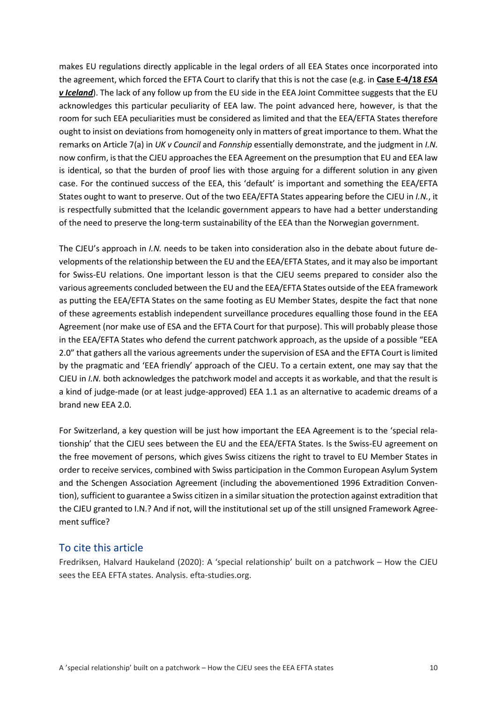makes EU regulations directly applicable in the legal orders of all EEA States once incorporated into the agreement, which forced the EFTA Court to clarify that this is not the case (e.g. in **[Case E-4/18](https://eftacourt.int/download/4-18-judgment/?wpdmdl=6054)** *ESA [v Iceland](https://eftacourt.int/download/4-18-judgment/?wpdmdl=6054)*). The lack of any follow up from the EU side in the EEA Joint Committee suggests that the EU acknowledges this particular peculiarity of EEA law. The point advanced here, however, is that the room for such EEA peculiarities must be considered as limited and that the EEA/EFTA States therefore ought to insist on deviations from homogeneity only in matters of great importance to them. What the remarks on Article 7(a) in *UK v Council* and *Fonnship* essentially demonstrate, and the judgment in *I.N.* now confirm, is that the CJEU approaches the EEA Agreement on the presumption that EU and EEA law is identical, so that the burden of proof lies with those arguing for a different solution in any given case. For the continued success of the EEA, this 'default' is important and something the EEA/EFTA States ought to want to preserve. Out of the two EEA/EFTA States appearing before the CJEU in *I.N.*, it is respectfully submitted that the Icelandic government appears to have had a better understanding of the need to preserve the long-term sustainability of the EEA than the Norwegian government.

The CJEU's approach in *I.N.* needs to be taken into consideration also in the debate about future developments of the relationship between the EU and the EEA/EFTA States, and it may also be important for Swiss-EU relations. One important lesson is that the CJEU seems prepared to consider also the various agreements concluded between the EU and the EEA/EFTA States outside of the EEA framework as putting the EEA/EFTA States on the same footing as EU Member States, despite the fact that none of these agreements establish independent surveillance procedures equalling those found in the EEA Agreement (nor make use of ESA and the EFTA Court for that purpose). This will probably please those in the EEA/EFTA States who defend the current patchwork approach, as the upside of a possible "EEA 2.0" that gathers all the various agreements under the supervision of ESA and the EFTA Court is limited by the pragmatic and 'EEA friendly' approach of the CJEU. To a certain extent, one may say that the CJEU in *I.N.* both acknowledges the patchwork model and accepts it as workable, and that the result is a kind of judge-made (or at least judge-approved) EEA 1.1 as an alternative to academic dreams of a brand new EEA 2.0.

For Switzerland, a key question will be just how important the EEA Agreement is to the 'special relationship' that the CJEU sees between the EU and the EEA/EFTA States. Is the Swiss-EU agreement on the free movement of persons, which gives Swiss citizens the right to travel to EU Member States in order to receive services, combined with Swiss participation in the Common European Asylum System and the Schengen Association Agreement (including the abovementioned 1996 Extradition Convention), sufficient to guarantee a Swiss citizen in a similar situation the protection against extradition that the CJEU granted to I.N.? And if not, will the institutional set up of the still unsigned Framework Agreement suffice?

## To cite this article

Fredriksen, Halvard Haukeland (2020): A 'special relationship' built on a patchwork – How the CJEU sees the EEA EFTA states. Analysis. efta-studies.org.